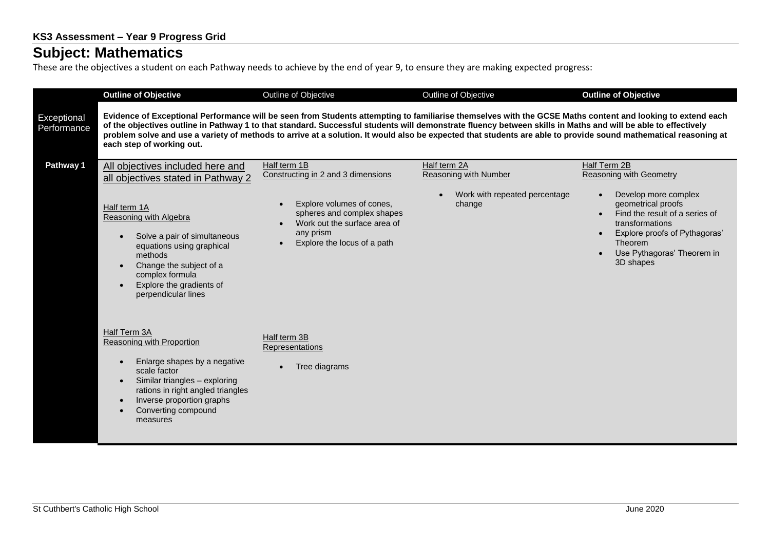## **Subject: Mathematics**

These are the objectives a student on each Pathway needs to achieve by the end of year 9, to ensure they are making expected progress:

|                            | <b>Outline of Objective</b>                                                                                                                                                                                                                                                                                                                                                                                                                                                                                                 | Outline of Objective                                                                                                                | Outline of Objective                         | <b>Outline of Objective</b>                                                                                                                                                                         |  |
|----------------------------|-----------------------------------------------------------------------------------------------------------------------------------------------------------------------------------------------------------------------------------------------------------------------------------------------------------------------------------------------------------------------------------------------------------------------------------------------------------------------------------------------------------------------------|-------------------------------------------------------------------------------------------------------------------------------------|----------------------------------------------|-----------------------------------------------------------------------------------------------------------------------------------------------------------------------------------------------------|--|
| Exceptional<br>Performance | Evidence of Exceptional Performance will be seen from Students attempting to familiarise themselves with the GCSE Maths content and looking to extend each<br>of the objectives outline in Pathway 1 to that standard. Successful students will demonstrate fluency between skills in Maths and will be able to effectively<br>problem solve and use a variety of methods to arrive at a solution. It would also be expected that students are able to provide sound mathematical reasoning at<br>each step of working out. |                                                                                                                                     |                                              |                                                                                                                                                                                                     |  |
| Pathway 1                  | All objectives included here and<br>all objectives stated in Pathway 2                                                                                                                                                                                                                                                                                                                                                                                                                                                      | Half term 1B<br>Constructing in 2 and 3 dimensions                                                                                  | Half term 2A<br><b>Reasoning with Number</b> | Half Term 2B<br><b>Reasoning with Geometry</b>                                                                                                                                                      |  |
|                            | Half term 1A<br>Reasoning with Algebra<br>Solve a pair of simultaneous<br>equations using graphical<br>methods<br>Change the subject of a<br>complex formula<br>Explore the gradients of<br>perpendicular lines                                                                                                                                                                                                                                                                                                             | Explore volumes of cones,<br>spheres and complex shapes<br>Work out the surface area of<br>any prism<br>Explore the locus of a path | Work with repeated percentage<br>change      | Develop more complex<br>geometrical proofs<br>Find the result of a series of<br>$\bullet$<br>transformations<br>Explore proofs of Pythagoras'<br>Theorem<br>Use Pythagoras' Theorem in<br>3D shapes |  |
|                            | Half Term 3A<br>Reasoning with Proportion<br>Enlarge shapes by a negative<br>$\bullet$<br>scale factor<br>Similar triangles - exploring<br>$\bullet$<br>rations in right angled triangles<br>Inverse proportion graphs<br>Converting compound<br>measures                                                                                                                                                                                                                                                                   | Half term 3B<br>Representations<br>Tree diagrams                                                                                    |                                              |                                                                                                                                                                                                     |  |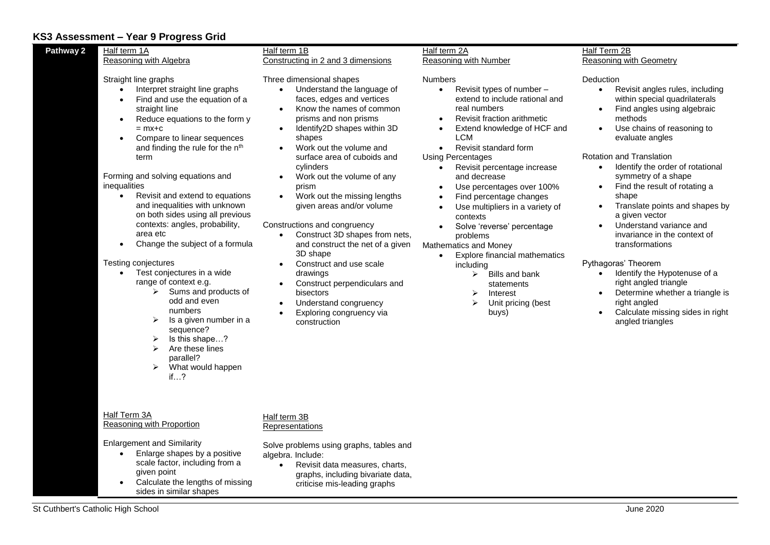## **KS3 Assessment – Year 9 Progress Grid**

| Pathway 2                                           | Half term 1A                                                                                                                                                                                                                                                                                                                                                                                                                                                                                                                                                                                                                                                                                                                                                   | Half term 1B                                                                                                                                                                                                                                                                                                                                                                                                                                                                                                                                                                                                                                                                   | Half term 2A                                                                                                                                                                                                                                                                                                                                                                                                                                                                                                                                                                                                                                                                                      | Half Term 2B                                                                                                                                                                                                                                                                                                                                                                                                                                                                                                                                                                                                                                                                                                                                   |
|-----------------------------------------------------|----------------------------------------------------------------------------------------------------------------------------------------------------------------------------------------------------------------------------------------------------------------------------------------------------------------------------------------------------------------------------------------------------------------------------------------------------------------------------------------------------------------------------------------------------------------------------------------------------------------------------------------------------------------------------------------------------------------------------------------------------------------|--------------------------------------------------------------------------------------------------------------------------------------------------------------------------------------------------------------------------------------------------------------------------------------------------------------------------------------------------------------------------------------------------------------------------------------------------------------------------------------------------------------------------------------------------------------------------------------------------------------------------------------------------------------------------------|---------------------------------------------------------------------------------------------------------------------------------------------------------------------------------------------------------------------------------------------------------------------------------------------------------------------------------------------------------------------------------------------------------------------------------------------------------------------------------------------------------------------------------------------------------------------------------------------------------------------------------------------------------------------------------------------------|------------------------------------------------------------------------------------------------------------------------------------------------------------------------------------------------------------------------------------------------------------------------------------------------------------------------------------------------------------------------------------------------------------------------------------------------------------------------------------------------------------------------------------------------------------------------------------------------------------------------------------------------------------------------------------------------------------------------------------------------|
|                                                     | Reasoning with Algebra                                                                                                                                                                                                                                                                                                                                                                                                                                                                                                                                                                                                                                                                                                                                         | Constructing in 2 and 3 dimensions                                                                                                                                                                                                                                                                                                                                                                                                                                                                                                                                                                                                                                             | Reasoning with Number                                                                                                                                                                                                                                                                                                                                                                                                                                                                                                                                                                                                                                                                             | Reasoning with Geometry                                                                                                                                                                                                                                                                                                                                                                                                                                                                                                                                                                                                                                                                                                                        |
| $\bullet$<br>inequalities<br>$\bullet$<br>$\bullet$ | Straight line graphs<br>Interpret straight line graphs<br>Find and use the equation of a<br>straight line<br>Reduce equations to the form y<br>$=$ m $x+c$<br>Compare to linear sequences<br>and finding the rule for the n <sup>th</sup><br>term<br>Forming and solving equations and<br>Revisit and extend to equations<br>and inequalities with unknown<br>on both sides using all previous<br>contexts: angles, probability,<br>area etc<br>Change the subject of a formula<br>Testing conjectures<br>Test conjectures in a wide<br>range of context e.g.<br>Sums and products of<br>➤<br>odd and even<br>numbers<br>➤<br>Is a given number in a<br>sequence?<br>Is this shape?<br>➤<br>Are these lines<br>➤<br>parallel?<br>What would happen<br>➤<br>if? | Three dimensional shapes<br>Understand the language of<br>$\bullet$<br>faces, edges and vertices<br>Know the names of common<br>$\bullet$<br>prisms and non prisms<br>Identify2D shapes within 3D<br>shapes<br>Work out the volume and<br>surface area of cuboids and<br>cylinders<br>Work out the volume of any<br>prism<br>Work out the missing lengths<br>given areas and/or volume<br>Constructions and congruency<br>Construct 3D shapes from nets,<br>and construct the net of a given<br>3D shape<br>Construct and use scale<br>$\bullet$<br>drawings<br>Construct perpendiculars and<br>bisectors<br>Understand congruency<br>Exploring congruency via<br>construction | <b>Numbers</b><br>Revisit types of number -<br>$\bullet$<br>extend to include rational and<br>real numbers<br>Revisit fraction arithmetic<br>$\bullet$<br>Extend knowledge of HCF and<br>LCM<br>Revisit standard form<br>$\bullet$<br><b>Using Percentages</b><br>Revisit percentage increase<br>$\bullet$<br>and decrease<br>Use percentages over 100%<br>Find percentage changes<br>Use multipliers in a variety of<br>$\bullet$<br>contexts<br>Solve 'reverse' percentage<br>problems<br><b>Mathematics and Money</b><br>Explore financial mathematics<br>$\bullet$<br>including<br>Bills and bank<br>➤<br>statements<br>≻<br>Interest<br>$\blacktriangleright$<br>Unit pricing (best<br>buys) | Deduction<br>Revisit angles rules, including<br>$\bullet$<br>within special quadrilaterals<br>Find angles using algebraic<br>methods<br>Use chains of reasoning to<br>$\bullet$<br>evaluate angles<br>Rotation and Translation<br>Identify the order of rotational<br>$\bullet$<br>symmetry of a shape<br>Find the result of rotating a<br>$\bullet$<br>shape<br>Translate points and shapes by<br>$\bullet$<br>a given vector<br>Understand variance and<br>$\bullet$<br>invariance in the context of<br>transformations<br>Pythagoras' Theorem<br>Identify the Hypotenuse of a<br>$\bullet$<br>right angled triangle<br>Determine whether a triangle is<br>right angled<br>Calculate missing sides in right<br>$\bullet$<br>angled triangles |
| $\bullet$                                           | Half Term 3A<br>Reasoning with Proportion<br><b>Enlargement and Similarity</b><br>Enlarge shapes by a positive<br>scale factor, including from a<br>given point<br>Calculate the lengths of missing                                                                                                                                                                                                                                                                                                                                                                                                                                                                                                                                                            | Half term 3B<br>Representations<br>Solve problems using graphs, tables and<br>algebra. Include:<br>Revisit data measures, charts,<br>$\bullet$<br>graphs, including bivariate data,<br>criticise mis-leading graphs                                                                                                                                                                                                                                                                                                                                                                                                                                                            |                                                                                                                                                                                                                                                                                                                                                                                                                                                                                                                                                                                                                                                                                                   |                                                                                                                                                                                                                                                                                                                                                                                                                                                                                                                                                                                                                                                                                                                                                |

sides in similar shapes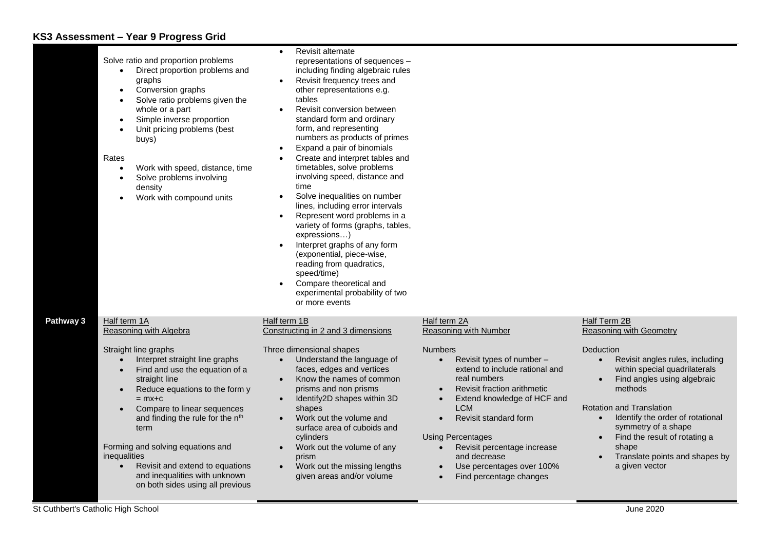## **KS3 Assessment – Year 9 Progress Grid**

|           | Solve ratio and proportion problems<br>Direct proportion problems and<br>$\bullet$<br>graphs<br>Conversion graphs<br>$\bullet$<br>Solve ratio problems given the<br>$\bullet$<br>whole or a part<br>Simple inverse proportion<br>$\bullet$<br>Unit pricing problems (best<br>$\bullet$<br>buys)<br>Rates<br>Work with speed, distance, time<br>$\bullet$<br>Solve problems involving<br>$\bullet$<br>density<br>Work with compound units<br>$\bullet$           | <b>Revisit alternate</b><br>representations of sequences -<br>including finding algebraic rules<br>Revisit frequency trees and<br>$\bullet$<br>other representations e.g.<br>tables<br>Revisit conversion between<br>standard form and ordinary<br>form, and representing<br>numbers as products of primes<br>Expand a pair of binomials<br>Create and interpret tables and<br>timetables, solve problems<br>involving speed, distance and<br>time<br>Solve inequalities on number<br>lines, including error intervals<br>Represent word problems in a<br>$\bullet$<br>variety of forms (graphs, tables,<br>expressions)<br>Interpret graphs of any form<br>(exponential, piece-wise,<br>reading from quadratics,<br>speed/time)<br>Compare theoretical and<br>experimental probability of two<br>or more events |                                                                                                                                                                                                                                                                                                                                                                              |                                                                                                                                                                                                                                                                                                                                                            |
|-----------|-----------------------------------------------------------------------------------------------------------------------------------------------------------------------------------------------------------------------------------------------------------------------------------------------------------------------------------------------------------------------------------------------------------------------------------------------------------------|------------------------------------------------------------------------------------------------------------------------------------------------------------------------------------------------------------------------------------------------------------------------------------------------------------------------------------------------------------------------------------------------------------------------------------------------------------------------------------------------------------------------------------------------------------------------------------------------------------------------------------------------------------------------------------------------------------------------------------------------------------------------------------------------------------------|------------------------------------------------------------------------------------------------------------------------------------------------------------------------------------------------------------------------------------------------------------------------------------------------------------------------------------------------------------------------------|------------------------------------------------------------------------------------------------------------------------------------------------------------------------------------------------------------------------------------------------------------------------------------------------------------------------------------------------------------|
| Pathway 3 | Half term 1A<br>Reasoning with Algebra                                                                                                                                                                                                                                                                                                                                                                                                                          | Half term 1B<br>Constructing in 2 and 3 dimensions                                                                                                                                                                                                                                                                                                                                                                                                                                                                                                                                                                                                                                                                                                                                                               | Half term 2A<br>Reasoning with Number                                                                                                                                                                                                                                                                                                                                        | Half Term 2B<br>Reasoning with Geometry                                                                                                                                                                                                                                                                                                                    |
|           | Straight line graphs<br>Interpret straight line graphs<br>Find and use the equation of a<br>$\bullet$<br>straight line<br>Reduce equations to the form y<br>$\bullet$<br>$=$ mx+c<br>Compare to linear sequences<br>$\bullet$<br>and finding the rule for the n <sup>th</sup><br>term<br>Forming and solving equations and<br>inequalities<br>Revisit and extend to equations<br>$\bullet$<br>and inequalities with unknown<br>on both sides using all previous | Three dimensional shapes<br>Understand the language of<br>faces, edges and vertices<br>Know the names of common<br>$\bullet$<br>prisms and non prisms<br>Identify2D shapes within 3D<br>$\bullet$<br>shapes<br>Work out the volume and<br>surface area of cuboids and<br>cylinders<br>Work out the volume of any<br>$\bullet$<br>prism<br>Work out the missing lengths<br>$\bullet$<br>given areas and/or volume                                                                                                                                                                                                                                                                                                                                                                                                 | <b>Numbers</b><br>Revisit types of number -<br>extend to include rational and<br>real numbers<br>Revisit fraction arithmetic<br>Extend knowledge of HCF and<br><b>LCM</b><br>Revisit standard form<br>$\bullet$<br><b>Using Percentages</b><br>Revisit percentage increase<br>$\bullet$<br>and decrease<br>Use percentages over 100%<br>$\bullet$<br>Find percentage changes | Deduction<br>Revisit angles rules, including<br>within special quadrilaterals<br>Find angles using algebraic<br>$\bullet$<br>methods<br><b>Rotation and Translation</b><br>Identify the order of rotational<br>$\bullet$<br>symmetry of a shape<br>Find the result of rotating a<br>$\bullet$<br>shape<br>Translate points and shapes by<br>a given vector |